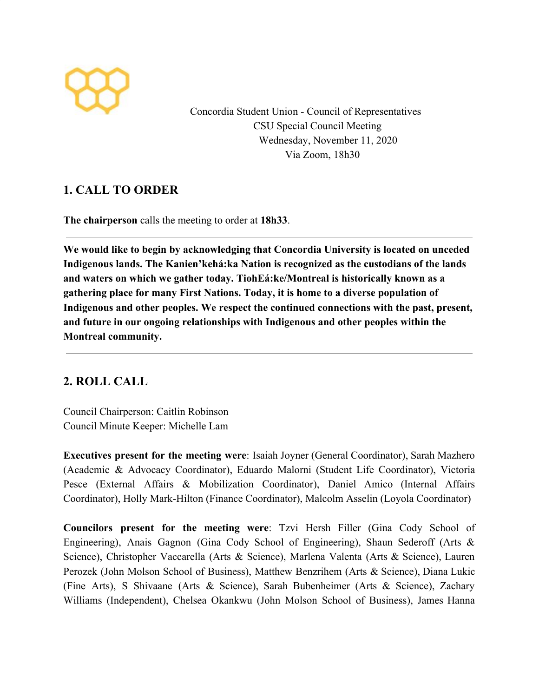

Concordia Student Union - Council of Representatives CSU Special Council Meeting Wednesday, November 11, 2020 Via Zoom, 18h30

# **1. CALL TO ORDER**

**The chairperson** calls the meeting to order at **18h33**.

**We would like to begin by acknowledging that Concordia University is located on unceded Indigenous lands. The Kanien'kehá:ka Nation is recognized as the custodians of the lands and waters on which we gather today. TiohEá:ke/Montreal is historically known as a gathering place for many First Nations. Today, it is home to a diverse population of Indigenous and other peoples. We respect the continued connections with the past, present, and future in our ongoing relationships with Indigenous and other peoples within the Montreal community.**

# **2. ROLL CALL**

Council Chairperson: Caitlin Robinson Council Minute Keeper: Michelle Lam

**Executives present for the meeting were**: Isaiah Joyner (General Coordinator), Sarah Mazhero (Academic & Advocacy Coordinator), Eduardo Malorni (Student Life Coordinator), Victoria Pesce (External Affairs & Mobilization Coordinator), Daniel Amico (Internal Affairs Coordinator), Holly Mark-Hilton (Finance Coordinator), Malcolm Asselin (Loyola Coordinator)

**Councilors present for the meeting were**: Tzvi Hersh Filler (Gina Cody School of Engineering), Anais Gagnon (Gina Cody School of Engineering), Shaun Sederoff (Arts & Science), Christopher Vaccarella (Arts & Science), Marlena Valenta (Arts & Science), Lauren Perozek (John Molson School of Business), Matthew Benzrihem (Arts & Science), Diana Lukic (Fine Arts), S Shivaane (Arts & Science), Sarah Bubenheimer (Arts & Science), Zachary Williams (Independent), Chelsea Okankwu (John Molson School of Business), James Hanna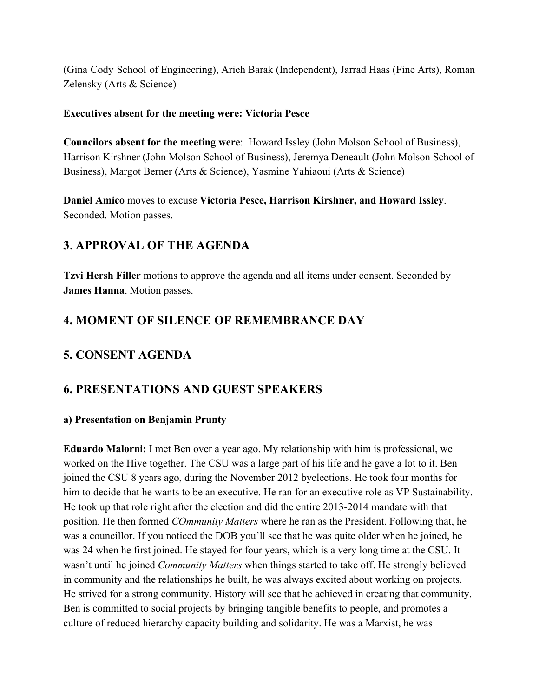(Gina Cody School of Engineering), Arieh Barak (Independent), Jarrad Haas (Fine Arts), Roman Zelensky (Arts & Science)

#### **Executives absent for the meeting were: Victoria Pesce**

**Councilors absent for the meeting were**: Howard Issley (John Molson School of Business), Harrison Kirshner (John Molson School of Business), Jeremya Deneault (John Molson School of Business), Margot Berner (Arts & Science), Yasmine Yahiaoui (Arts & Science)

**Daniel Amico** moves to excuse **Victoria Pesce, Harrison Kirshner, and Howard Issley**. Seconded. Motion passes.

## **3**. **APPROVAL OF THE AGENDA**

**Tzvi Hersh Filler** motions to approve the agenda and all items under consent. Seconded by **James Hanna**. Motion passes.

### **4. MOMENT OF SILENCE OF REMEMBRANCE DAY**

## **5. CONSENT AGENDA**

### **6. PRESENTATIONS AND GUEST SPEAKERS**

#### **a) Presentation on Benjamin Prunty**

**Eduardo Malorni:** I met Ben over a year ago. My relationship with him is professional, we worked on the Hive together. The CSU was a large part of his life and he gave a lot to it. Ben joined the CSU 8 years ago, during the November 2012 byelections. He took four months for him to decide that he wants to be an executive. He ran for an executive role as VP Sustainability. He took up that role right after the election and did the entire 2013-2014 mandate with that position. He then formed *COmmunity Matters* where he ran as the President. Following that, he was a councillor. If you noticed the DOB you'll see that he was quite older when he joined, he was 24 when he first joined. He stayed for four years, which is a very long time at the CSU. It wasn't until he joined *Community Matters* when things started to take off. He strongly believed in community and the relationships he built, he was always excited about working on projects. He strived for a strong community. History will see that he achieved in creating that community. Ben is committed to social projects by bringing tangible benefits to people, and promotes a culture of reduced hierarchy capacity building and solidarity. He was a Marxist, he was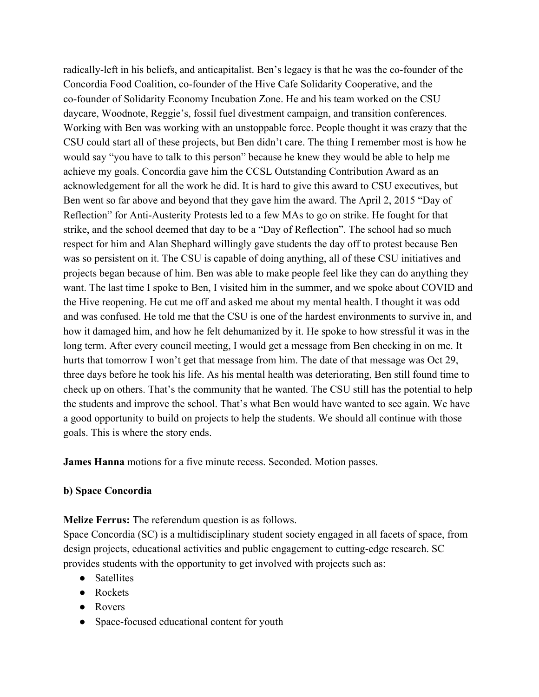radically-left in his beliefs, and anticapitalist. Ben's legacy is that he was the co-founder of the Concordia Food Coalition, co-founder of the Hive Cafe Solidarity Cooperative, and the co-founder of Solidarity Economy Incubation Zone. He and his team worked on the CSU daycare, Woodnote, Reggie's, fossil fuel divestment campaign, and transition conferences. Working with Ben was working with an unstoppable force. People thought it was crazy that the CSU could start all of these projects, but Ben didn't care. The thing I remember most is how he would say "you have to talk to this person" because he knew they would be able to help me achieve my goals. Concordia gave him the CCSL Outstanding Contribution Award as an acknowledgement for all the work he did. It is hard to give this award to CSU executives, but Ben went so far above and beyond that they gave him the award. The April 2, 2015 "Day of Reflection" for Anti-Austerity Protests led to a few MAs to go on strike. He fought for that strike, and the school deemed that day to be a "Day of Reflection". The school had so much respect for him and Alan Shephard willingly gave students the day off to protest because Ben was so persistent on it. The CSU is capable of doing anything, all of these CSU initiatives and projects began because of him. Ben was able to make people feel like they can do anything they want. The last time I spoke to Ben, I visited him in the summer, and we spoke about COVID and the Hive reopening. He cut me off and asked me about my mental health. I thought it was odd and was confused. He told me that the CSU is one of the hardest environments to survive in, and how it damaged him, and how he felt dehumanized by it. He spoke to how stressful it was in the long term. After every council meeting, I would get a message from Ben checking in on me. It hurts that tomorrow I won't get that message from him. The date of that message was Oct 29, three days before he took his life. As his mental health was deteriorating, Ben still found time to check up on others. That's the community that he wanted. The CSU still has the potential to help the students and improve the school. That's what Ben would have wanted to see again. We have a good opportunity to build on projects to help the students. We should all continue with those goals. This is where the story ends.

**James Hanna** motions for a five minute recess. Seconded. Motion passes.

#### **b) Space Concordia**

**Melize Ferrus:** The referendum question is as follows.

Space Concordia (SC) is a multidisciplinary student society engaged in all facets of space, from design projects, educational activities and public engagement to cutting-edge research. SC provides students with the opportunity to get involved with projects such as:

- Satellites
- Rockets
- Rovers
- Space-focused educational content for youth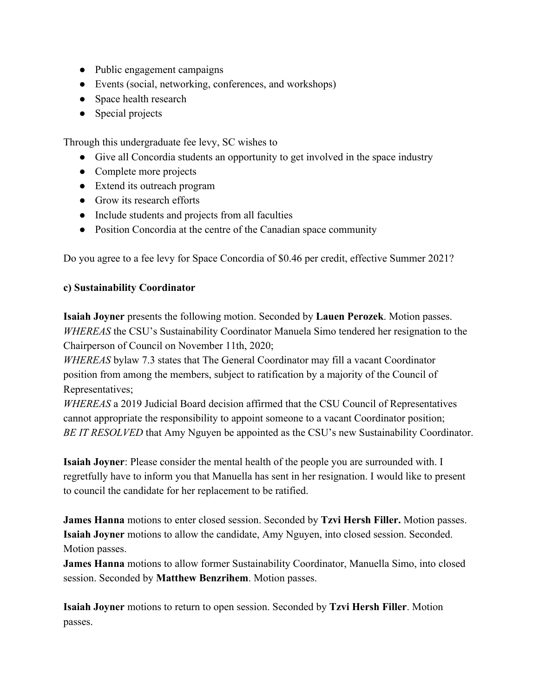- Public engagement campaigns
- Events (social, networking, conferences, and workshops)
- Space health research
- Special projects

Through this undergraduate fee levy, SC wishes to

- Give all Concordia students an opportunity to get involved in the space industry
- Complete more projects
- Extend its outreach program
- Grow its research efforts
- Include students and projects from all faculties
- Position Concordia at the centre of the Canadian space community

Do you agree to a fee levy for Space Concordia of \$0.46 per credit, effective Summer 2021?

#### **c) Sustainability Coordinator**

**Isaiah Joyner** presents the following motion. Seconded by **Lauen Perozek**. Motion passes. *WHEREAS* the CSU's Sustainability Coordinator Manuela Simo tendered her resignation to the Chairperson of Council on November 11th, 2020;

*WHEREAS* bylaw 7.3 states that The General Coordinator may fill a vacant Coordinator position from among the members, subject to ratification by a majority of the Council of Representatives;

*WHEREAS* a 2019 Judicial Board decision affirmed that the CSU Council of Representatives cannot appropriate the responsibility to appoint someone to a vacant Coordinator position; *BE IT RESOLVED* that Amy Nguyen be appointed as the CSU's new Sustainability Coordinator.

**Isaiah Joyner**: Please consider the mental health of the people you are surrounded with. I regretfully have to inform you that Manuella has sent in her resignation. I would like to present to council the candidate for her replacement to be ratified.

**James Hanna** motions to enter closed session. Seconded by **Tzvi Hersh Filler.** Motion passes. **Isaiah Joyner** motions to allow the candidate, Amy Nguyen, into closed session. Seconded. Motion passes.

**James Hanna** motions to allow former Sustainability Coordinator, Manuella Simo, into closed session. Seconded by **Matthew Benzrihem**. Motion passes.

**Isaiah Joyner** motions to return to open session. Seconded by **Tzvi Hersh Filler**. Motion passes.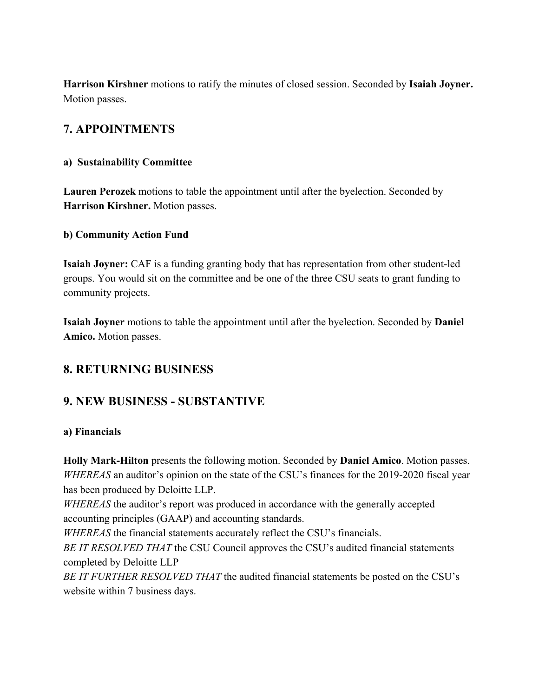**Harrison Kirshner** motions to ratify the minutes of closed session. Seconded by **Isaiah Joyner.** Motion passes.

# **7. APPOINTMENTS**

#### **a) Sustainability Committee**

**Lauren Perozek** motions to table the appointment until after the byelection. Seconded by **Harrison Kirshner.** Motion passes.

#### **b) Community Action Fund**

**Isaiah Joyner:** CAF is a funding granting body that has representation from other student-led groups. You would sit on the committee and be one of the three CSU seats to grant funding to community projects.

**Isaiah Joyner** motions to table the appointment until after the byelection. Seconded by **Daniel Amico.** Motion passes.

### **8. RETURNING BUSINESS**

### **9. NEW BUSINESS - SUBSTANTIVE**

#### **a) Financials**

**Holly Mark-Hilton** presents the following motion. Seconded by **Daniel Amico**. Motion passes. *WHEREAS* an auditor's opinion on the state of the CSU's finances for the 2019-2020 fiscal year has been produced by Deloitte LLP.

*WHEREAS* the auditor's report was produced in accordance with the generally accepted accounting principles (GAAP) and accounting standards.

*WHEREAS* the financial statements accurately reflect the CSU's financials.

*BE IT RESOLVED THAT* the CSU Council approves the CSU's audited financial statements completed by Deloitte LLP

*BE IT FURTHER RESOLVED THAT* the audited financial statements be posted on the CSU's website within 7 business days.